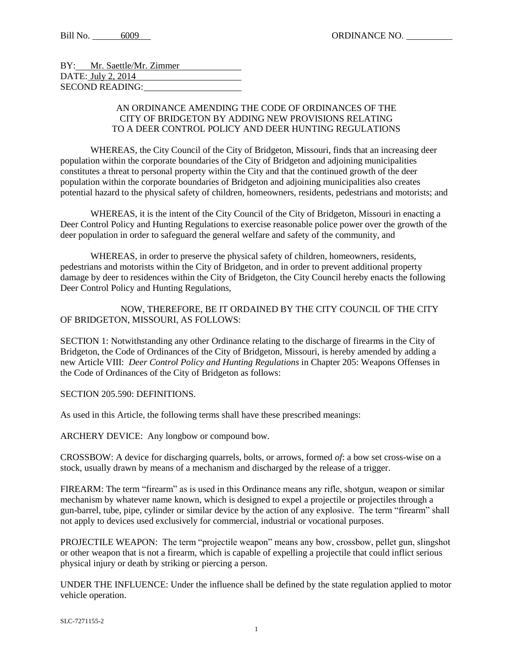Bill No. 6009 ORDINANCE NO.

| BY: Mr. Saettle/Mr. Zimmer |  |
|----------------------------|--|
| DATE: July 2, 2014         |  |
| SECOND READING:            |  |

## AN ORDINANCE AMENDING THE CODE OF ORDINANCES OF THE CITY OF BRIDGETON BY ADDING NEW PROVISIONS RELATING TO A DEER CONTROL POLICY AND DEER HUNTING REGULATIONS

WHEREAS, the City Council of the City of Bridgeton, Missouri, finds that an increasing deer population within the corporate boundaries of the City of Bridgeton and adjoining municipalities constitutes a threat to personal property within the City and that the continued growth of the deer population within the corporate boundaries of Bridgeton and adjoining municipalities also creates potential hazard to the physical safety of children, homeowners, residents, pedestrians and motorists; and

WHEREAS, it is the intent of the City Council of the City of Bridgeton, Missouri in enacting a Deer Control Policy and Hunting Regulations to exercise reasonable police power over the growth of the deer population in order to safeguard the general welfare and safety of the community, and

WHEREAS, in order to preserve the physical safety of children, homeowners, residents, pedestrians and motorists within the City of Bridgeton, and in order to prevent additional property damage by deer to residences within the City of Bridgeton, the City Council hereby enacts the following Deer Control Policy and Hunting Regulations,

NOW, THEREFORE, BE IT ORDAINED BY THE CITY COUNCIL OF THE CITY OF BRIDGETON, MISSOURI, AS FOLLOWS:

SECTION 1: Notwithstanding any other Ordinance relating to the discharge of firearms in the City of Bridgeton, the Code of Ordinances of the City of Bridgeton, Missouri, is hereby amended by adding a new Article VIII: *Deer Control Policy and Hunting Regulations* in Chapter 205: Weapons Offenses in the Code of Ordinances of the City of Bridgeton as follows:

SECTION 205.590: DEFINITIONS.

As used in this Article, the following terms shall have these prescribed meanings:

ARCHERY DEVICE: Any longbow or compound bow.

CROSSBOW: A device for discharging quarrels, bolts, or arrows, formed *of*: a bow set cross-wise on a stock, usually drawn by means of a mechanism and discharged by the release of a trigger.

FIREARM: The term "firearm" as is used in this Ordinance means any rifle, shotgun, weapon or similar mechanism by whatever name known, which is designed to expel a projectile or projectiles through a gun-barrel, tube, pipe, cylinder or similar device by the action of any explosive. The term "firearm" shall not apply to devices used exclusively for commercial, industrial or vocational purposes.

PROJECTILE WEAPON: The term "projectile weapon" means any bow, crossbow, pellet gun, slingshot or other weapon that is not a firearm, which is capable of expelling a projectile that could inflict serious physical injury or death by striking or piercing a person.

UNDER THE INFLUENCE: Under the influence shall be defined by the state regulation applied to motor vehicle operation.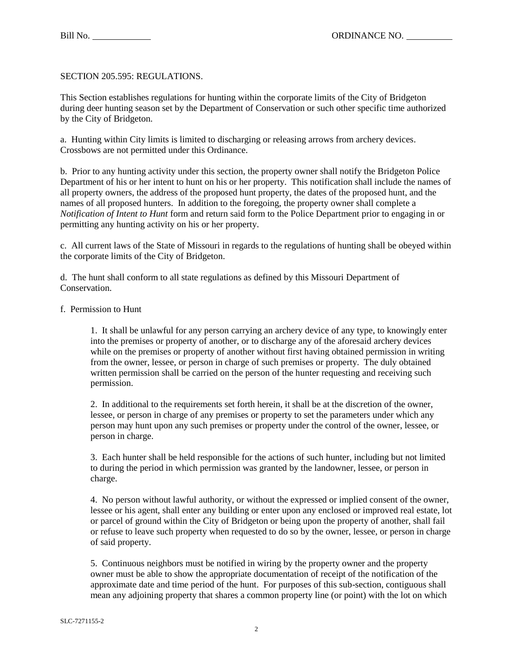SECTION 205.595: REGULATIONS.

This Section establishes regulations for hunting within the corporate limits of the City of Bridgeton during deer hunting season set by the Department of Conservation or such other specific time authorized by the City of Bridgeton.

a. Hunting within City limits is limited to discharging or releasing arrows from archery devices. Crossbows are not permitted under this Ordinance.

b. Prior to any hunting activity under this section, the property owner shall notify the Bridgeton Police Department of his or her intent to hunt on his or her property. This notification shall include the names of all property owners, the address of the proposed hunt property, the dates of the proposed hunt, and the names of all proposed hunters. In addition to the foregoing, the property owner shall complete a *Notification of Intent to Hunt* form and return said form to the Police Department prior to engaging in or permitting any hunting activity on his or her property.

c. All current laws of the State of Missouri in regards to the regulations of hunting shall be obeyed within the corporate limits of the City of Bridgeton.

d. The hunt shall conform to all state regulations as defined by this Missouri Department of Conservation.

## f. Permission to Hunt

1. It shall be unlawful for any person carrying an archery device of any type, to knowingly enter into the premises or property of another, or to discharge any of the aforesaid archery devices while on the premises or property of another without first having obtained permission in writing from the owner, lessee, or person in charge of such premises or property. The duly obtained written permission shall be carried on the person of the hunter requesting and receiving such permission.

2. In additional to the requirements set forth herein, it shall be at the discretion of the owner, lessee, or person in charge of any premises or property to set the parameters under which any person may hunt upon any such premises or property under the control of the owner, lessee, or person in charge.

3. Each hunter shall be held responsible for the actions of such hunter, including but not limited to during the period in which permission was granted by the landowner, lessee, or person in charge.

4. No person without lawful authority, or without the expressed or implied consent of the owner, lessee or his agent, shall enter any building or enter upon any enclosed or improved real estate, lot or parcel of ground within the City of Bridgeton or being upon the property of another, shall fail or refuse to leave such property when requested to do so by the owner, lessee, or person in charge of said property.

5. Continuous neighbors must be notified in wiring by the property owner and the property owner must be able to show the appropriate documentation of receipt of the notification of the approximate date and time period of the hunt. For purposes of this sub-section, contiguous shall mean any adjoining property that shares a common property line (or point) with the lot on which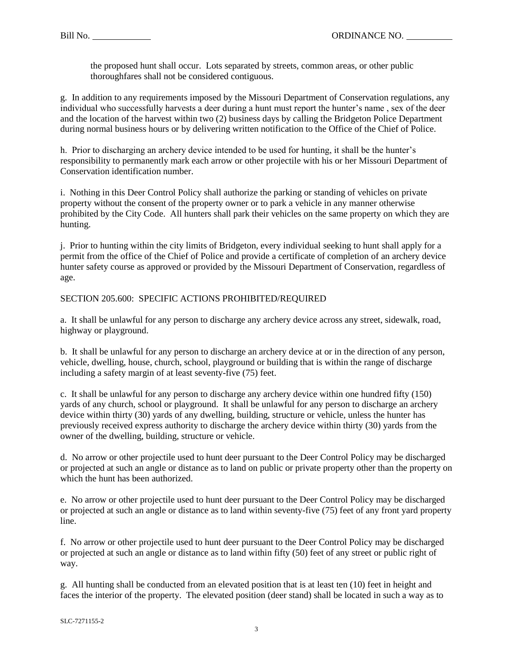the proposed hunt shall occur. Lots separated by streets, common areas, or other public thoroughfares shall not be considered contiguous.

g. In addition to any requirements imposed by the Missouri Department of Conservation regulations, any individual who successfully harvests a deer during a hunt must report the hunter's name , sex of the deer and the location of the harvest within two (2) business days by calling the Bridgeton Police Department during normal business hours or by delivering written notification to the Office of the Chief of Police.

h. Prior to discharging an archery device intended to be used for hunting, it shall be the hunter's responsibility to permanently mark each arrow or other projectile with his or her Missouri Department of Conservation identification number.

i. Nothing in this Deer Control Policy shall authorize the parking or standing of vehicles on private property without the consent of the property owner or to park a vehicle in any manner otherwise prohibited by the City Code. All hunters shall park their vehicles on the same property on which they are hunting.

j. Prior to hunting within the city limits of Bridgeton, every individual seeking to hunt shall apply for a permit from the office of the Chief of Police and provide a certificate of completion of an archery device hunter safety course as approved or provided by the Missouri Department of Conservation, regardless of age.

SECTION 205.600: SPECIFIC ACTIONS PROHIBITED/REQUIRED

a. It shall be unlawful for any person to discharge any archery device across any street, sidewalk, road, highway or playground.

b. It shall be unlawful for any person to discharge an archery device at or in the direction of any person, vehicle, dwelling, house, church, school, playground or building that is within the range of discharge including a safety margin of at least seventy-five (75) feet.

c. It shall be unlawful for any person to discharge any archery device within one hundred fifty (150) yards of any church, school or playground. It shall be unlawful for any person to discharge an archery device within thirty (30) yards of any dwelling, building, structure or vehicle, unless the hunter has previously received express authority to discharge the archery device within thirty (30) yards from the owner of the dwelling, building, structure or vehicle.

d. No arrow or other projectile used to hunt deer pursuant to the Deer Control Policy may be discharged or projected at such an angle or distance as to land on public or private property other than the property on which the hunt has been authorized.

e. No arrow or other projectile used to hunt deer pursuant to the Deer Control Policy may be discharged or projected at such an angle or distance as to land within seventy-five (75) feet of any front yard property line.

f. No arrow or other projectile used to hunt deer pursuant to the Deer Control Policy may be discharged or projected at such an angle or distance as to land within fifty (50) feet of any street or public right of way.

g. All hunting shall be conducted from an elevated position that is at least ten (10) feet in height and faces the interior of the property. The elevated position (deer stand) shall be located in such a way as to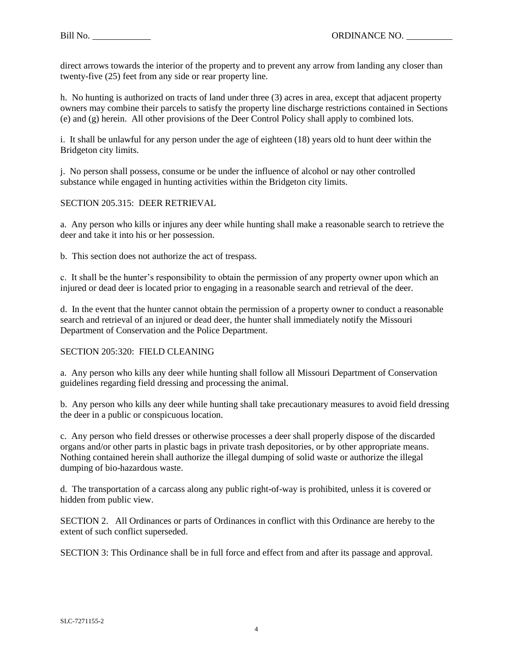direct arrows towards the interior of the property and to prevent any arrow from landing any closer than twenty-five (25) feet from any side or rear property line.

h. No hunting is authorized on tracts of land under three (3) acres in area, except that adjacent property owners may combine their parcels to satisfy the property line discharge restrictions contained in Sections (e) and (g) herein. All other provisions of the Deer Control Policy shall apply to combined lots.

i. It shall be unlawful for any person under the age of eighteen (18) years old to hunt deer within the Bridgeton city limits.

j. No person shall possess, consume or be under the influence of alcohol or nay other controlled substance while engaged in hunting activities within the Bridgeton city limits.

## SECTION 205.315: DEER RETRIEVAL

a. Any person who kills or injures any deer while hunting shall make a reasonable search to retrieve the deer and take it into his or her possession.

b. This section does not authorize the act of trespass.

c. It shall be the hunter's responsibility to obtain the permission of any property owner upon which an injured or dead deer is located prior to engaging in a reasonable search and retrieval of the deer.

d. In the event that the hunter cannot obtain the permission of a property owner to conduct a reasonable search and retrieval of an injured or dead deer, the hunter shall immediately notify the Missouri Department of Conservation and the Police Department.

## SECTION 205:320: FIELD CLEANING

a. Any person who kills any deer while hunting shall follow all Missouri Department of Conservation guidelines regarding field dressing and processing the animal.

b. Any person who kills any deer while hunting shall take precautionary measures to avoid field dressing the deer in a public or conspicuous location.

c. Any person who field dresses or otherwise processes a deer shall properly dispose of the discarded organs and/or other parts in plastic bags in private trash depositories, or by other appropriate means. Nothing contained herein shall authorize the illegal dumping of solid waste or authorize the illegal dumping of bio-hazardous waste.

d. The transportation of a carcass along any public right-of-way is prohibited, unless it is covered or hidden from public view.

SECTION 2. All Ordinances or parts of Ordinances in conflict with this Ordinance are hereby to the extent of such conflict superseded.

SECTION 3: This Ordinance shall be in full force and effect from and after its passage and approval.